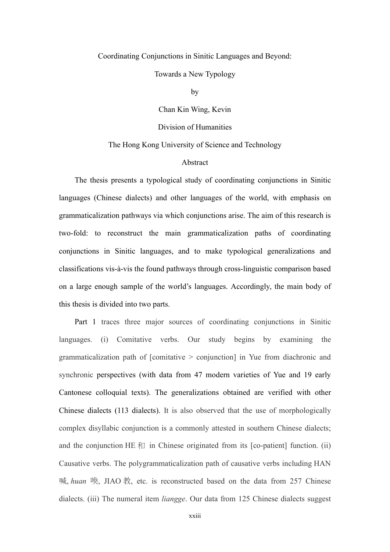## Coordinating Conjunctions in Sinitic Languages and Beyond:

## Towards a New Typology

by

Chan Kin Wing, Kevin

Division of Humanities

## The Hong Kong University of Science and Technology

## Abstract

The thesis presents a typological study of coordinating conjunctions in Sinitic languages (Chinese dialects) and other languages of the world, with emphasis on grammaticalization pathways via which conjunctions arise. The aim of this research is two-fold: to reconstruct the main grammaticalization paths of coordinating conjunctions in Sinitic languages, and to make typological generalizations and classifications vis-à-vis the found pathways through cross-linguistic comparison based on a large enough sample of the world's languages. Accordingly, the main body of this thesis is divided into two parts.

Part 1 traces three major sources of coordinating conjunctions in Sinitic languages. (i) Comitative verbs. Our study begins by examining the grammaticalization path of [comitative > conjunction] in Yue from diachronic and synchronic perspectives (with data from 47 modern varieties of Yue and 19 early Cantonese colloquial texts). The generalizations obtained are verified with other Chinese dialects (113 dialects). It is also observed that the use of morphologically complex disyllabic conjunction is a commonly attested in southern Chinese dialects; and the conjunction HE  $\bar{f}$  in Chinese originated from its [co-patient] function. (ii) Causative verbs. The polygrammaticalization path of causative verbs including HAN 喊, huan 喚, JIAO 教, etc. is reconstructed based on the data from 257 Chinese dialects. (iii) The numeral item *liangge*. Our data from 125 Chinese dialects suggest